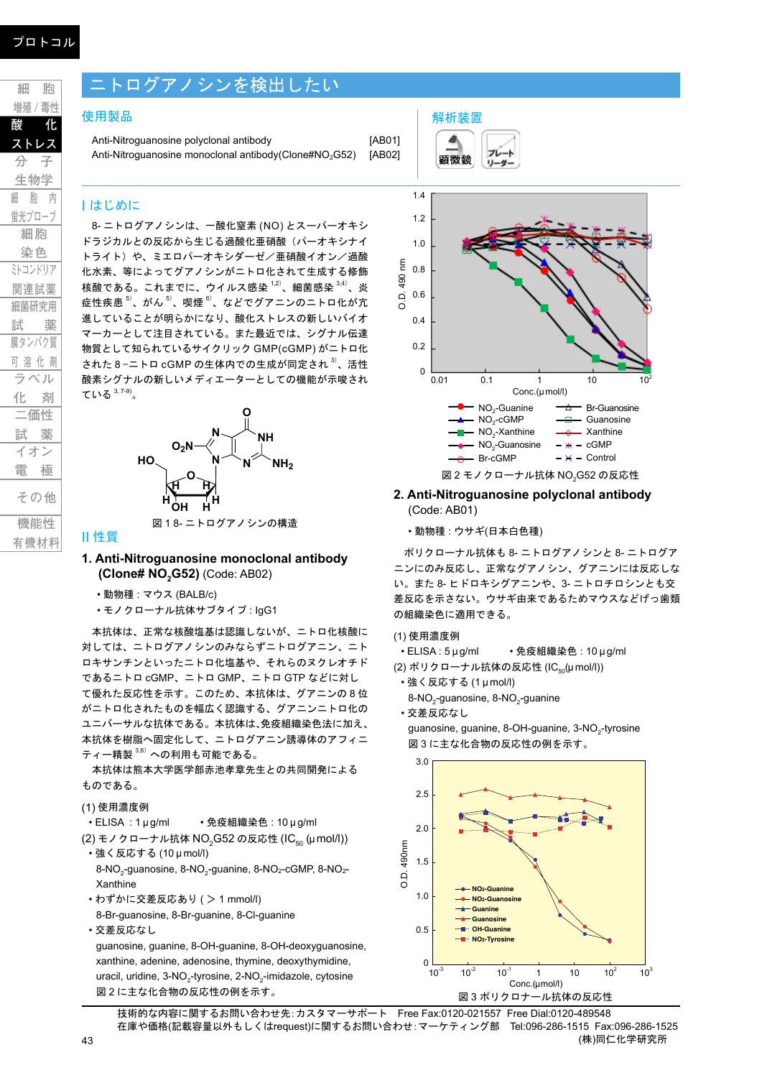# ニトログアノシンを検出したい

#### 使用製品

Anti-Nitroguanosine polyclonal antibody [AB01] Anti-Nitroguanosine monoclonal antibody(Clone#NO<sub>2</sub>G52) [AB02]

## I はじめに

8- ニトログアノシンは、一酸化窒素 (NO) とスーパーオキシ ドラジカルとの反応から生じる過酸化亜硝酸(パーオキシナイ トライト)や、ミエロパーオキシダーゼ/亜硝酸イオン/過酸 化水素、等によってグアノシンがニトロ化されて生成する修飾 核酸である。これまでに、ウイルス感染 <sup>1,2)</sup>、細菌感染 <sup>3,4)</sup>、炎 症性疾患  $^{5)}$ 、がん  $^{5)}$ 、喫煙  $^{6)}$ 、などでグアニンのニトロ化が亢 進していることが明らかになり、酸化ストレスの新しいバイオ マーカーとして注目されている。また最近では、シグナル伝達 物質として知られているサイクリック GMP(cGMP) がニトロ化 された 8 −ニトロ cGMP の生体内での生成が同定され <sup>3)</sup>、活性 酸素シグナルの新しいメディエーターとしての機能が示唆され ている 3, 7-9) 。



#### II 性質

- **1. Anti-Nitroguanosine monoclonal antibody (Clone# NO2G52)** (Code: AB02)
	- 動物種 : マウス (BALB/c)
	- モノクローナル抗体サブタイプ : IgG1

本抗体は、正常な核酸塩基は認識しないが、ニトロ化核酸に 対しては、ニトログアノシンのみならずニトログアニン、ニト ロキサンチンといったニトロ化塩基や、それらのヌクレオチド であるニトロ cGMP、ニトロ GMP、ニトロ GTP などに対し て優れた反応性を示す。このため、本抗体は、グアニンの 8 位 がニトロ化されたものを幅広く認識する、グアニンニトロ化の ユニバーサルな抗体である。本抗体は、免疫組織染色法に加え、 本抗体を樹脂へ固定化して、ニトログアニン誘導体のアフィニ ティー精製  $3,6$ ) への利用も可能である。

本抗体は熊本大学医学部赤池孝章先生との共同開発による ものである。

(1) 使用濃度例

• ELISA : 1 μ g/ml • 免疫組織染色 : 10 μ g/ml

- (2) モノクローナル抗体 NO<sub>2</sub>G52 の反応性 (IC<sub>50</sub> (μmol/l)) • 強く反応する (10 μ mol/l)
	- 8-NO<sub>2</sub>-guanosine, 8-NO<sub>2</sub>-guanine, 8-NO<sub>2</sub>-cGMP, 8-NO<sub>2</sub>-Xanthine
- わずかに交差反応あり ( > 1 mmol/l) 8-Br-guanosine, 8-Br-guanine, 8-Cl-guanine • 交差反応なし

guanosine, guanine, 8-OH-guanine, 8-OH-deoxyguanosine, xanthine, adenine, adenosine, thymine, deoxythymidine, uracil, uridine, 3-NO<sub>2</sub>-tyrosine, 2-NO<sub>2</sub>-imidazole, cytosine 図 2 に主な化合物の反応性の例を示す。



**2. Anti-Nitroguanosine polyclonal antibody** (Code: AB01)

• 動物種 : ウサギ(日本白色種)

解析装置

ポリクローナル抗体も 8- ニトログアノシンと 8- ニトログア ニンにのみ反応し、正常なグアノシン、グアニンには反応しな い。また 8- ヒドロキシグアニンや、3- ニトロチロシンとも交 差反応を示さない。ウサギ由来であるためマウスなどげっ歯類 の組織染色に適用できる。

- (1) 使用濃度例
- ELISA : 5 μ g/ml 免疫組織染色 : 10 μ g/ml
- (2) ポリクローナル抗体の反応性 (IC<sub>50</sub>(µ mol/l))
- 強く反応する (1 μ mol/l)
- 8-NO<sub>2</sub>-quanosine, 8-NO<sub>2</sub>-quanine
- 交差反応なし

guanosine, guanine, 8-OH-guanine, 3-NO<sub>2</sub>-tyrosine 図 3 に主な化合物の反応性の例を示す。



技術的な内容に関するお問い合わせ先:カスタマーサポート Free Fax:0120-021557 Free Dial:0120-489548 在庫や価格(記載容量以外もしくはrequest)に関するお問い合わせ:マーケティング部 Tel:096-286-1515 Fax:096-286-1525 (株)同仁化学研究所